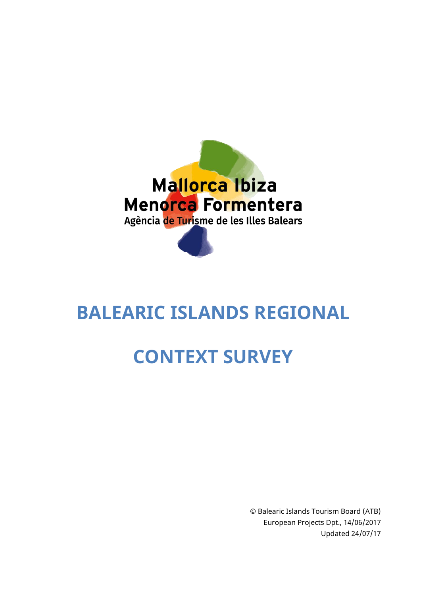

# **BALEARIC ISLANDS REGIONAL**

# **CONTEXT SURVEY**

© Balearic Islands Tourism Board (ATB) European Projects Dpt., 14/06/2017 Updated 24/07/17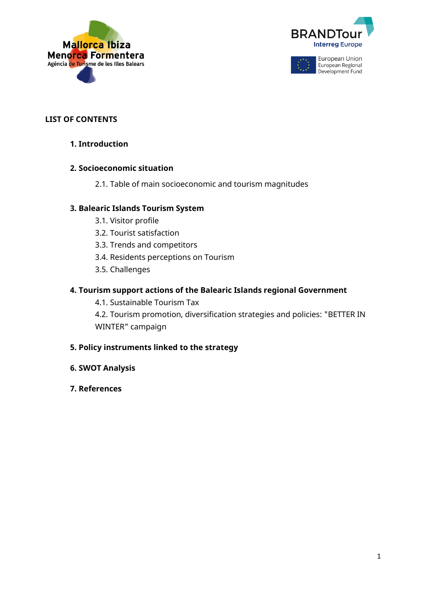



#### **LIST OF CONTENTS**

**1. Introduction**

#### **2. Socioeconomic situation**

2.1. Table of main socioeconomic and tourism magnitudes

#### **3. Balearic Islands Tourism System**

- 3.1. Visitor profile
- 3.2. Tourist satisfaction
- 3.3. Trends and competitors
- 3.4. Residents perceptions on Tourism
- 3.5. Challenges

#### **4. Tourism support actions of the Balearic Islands regional Government**

4.1. Sustainable Tourism Tax

4.2. Tourism promotion, diversification strategies and policies: "BETTER IN WINTER" campaign

#### **5. Policy instruments linked to the strategy**

- **6. SWOT Analysis**
- **7. References**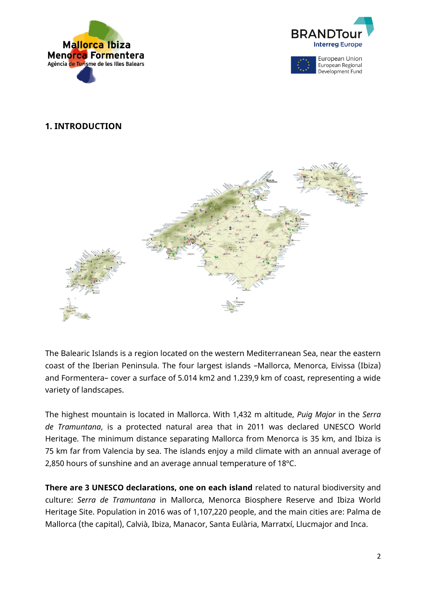





#### **1. INTRODUCTION**



The Balearic Islands is a region located on the western Mediterranean Sea, near the eastern coast of the Iberian Peninsula. The four largest islands –Mallorca, Menorca, Eivissa (Ibiza) and Formentera– cover a surface of 5.014 km2 and 1.239,9 km of coast, representing a wide variety of landscapes.

The highest mountain is located in Mallorca. With 1,432 m altitude, *Puig Major* in the *Serra de Tramuntana*, is a protected natural area that in 2011 was declared UNESCO World Heritage. The minimum distance separating Mallorca from Menorca is 35 km, and Ibiza is 75 km far from Valencia by sea. The islands enjoy a mild climate with an annual average of 2,850 hours of sunshine and an average annual temperature of 18ºC.

**There are 3 UNESCO declarations, one on each island** related to natural biodiversity and culture: *Serra de Tramuntana* in Mallorca, Menorca Biosphere Reserve and Ibiza World Heritage Site. Population in 2016 was of 1,107,220 people, and the main cities are: Palma de Mallorca (the capital), Calvià, Ibiza, Manacor, Santa Eulària, Marratxí, Llucmajor and Inca.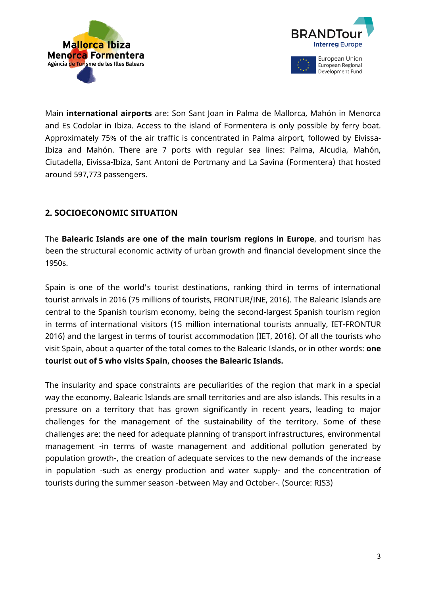



Main **international airports** are: Son Sant Joan in Palma de Mallorca, Mahón in Menorca and Es Codolar in Ibiza. Access to the island of Formentera is only possible by ferry boat. Approximately 75% of the air traffic is concentrated in Palma airport, followed by Eivissa-Ibiza and Mahón. There are 7 ports with regular sea lines: Palma, Alcudia, Mahón, Ciutadella, Eivissa-Ibiza, Sant Antoni de Portmany and La Savina (Formentera) that hosted around 597,773 passengers.

# **2. SOCIOECONOMIC SITUATION**

The **Balearic Islands are one of the main tourism regions in Europe**, and tourism has been the structural economic activity of urban growth and financial development since the 1950s.

Spain is one of the world's tourist destinations, ranking third in terms of international tourist arrivals in 2016 (75 millions of tourists, FRONTUR/INE, 2016). The Balearic Islands are central to the Spanish tourism economy, being the second-largest Spanish tourism region in terms of international visitors (15 million international tourists annually, IET-FRONTUR 2016) and the largest in terms of tourist accommodation (IET, 2016). Of all the tourists who visit Spain, about a quarter of the total comes to the Balearic Islands, or in other words: **one tourist out of 5 who visits Spain, chooses the Balearic Islands.**

The insularity and space constraints are peculiarities of the region that mark in a special way the economy. Balearic Islands are small territories and are also islands. This results in a pressure on a territory that has grown significantly in recent years, leading to major challenges for the management of the sustainability of the territory. Some of these challenges are: the need for adequate planning of transport infrastructures, environmental management -in terms of waste management and additional pollution generated by population growth-, the creation of adequate services to the new demands of the increase in population -such as energy production and water supply- and the concentration of tourists during the summer season -between May and October-. (Source: RIS3)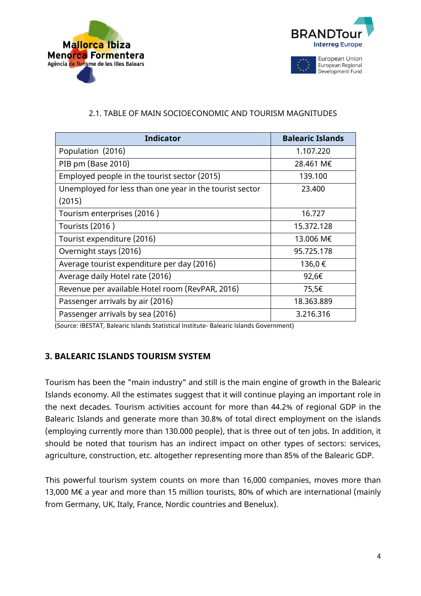



# 2.1. TABLE OF MAIN SOCIOECONOMIC AND TOURISM MAGNITUDES

| <b>Indicator</b>                                        | <b>Balearic Islands</b> |
|---------------------------------------------------------|-------------------------|
| Population (2016)                                       | 1.107.220               |
| PIB pm (Base 2010)                                      | 28.461 M€               |
| Employed people in the tourist sector (2015)            | 139.100                 |
| Unemployed for less than one year in the tourist sector | 23.400                  |
| (2015)                                                  |                         |
| Tourism enterprises (2016)                              | 16.727                  |
| Tourists (2016)                                         | 15.372.128              |
| Tourist expenditure (2016)                              | 13.006 M€               |
| Overnight stays (2016)                                  | 95.725.178              |
| Average tourist expenditure per day (2016)              | 136,0€                  |
| Average daily Hotel rate (2016)                         | 92,6€                   |
| Revenue per available Hotel room (RevPAR, 2016)         | 75,5€                   |
| Passenger arrivals by air (2016)                        | 18.363.889              |
| Passenger arrivals by sea (2016)                        | 3.216.316               |

(Source: IBESTAT, Balearic Islands Statistical Institute- Balearic Islands Government)

# **3. BALEARIC ISLANDS TOURISM SYSTEM**

Tourism has been the "main industry" and still is the main engine of growth in the Balearic Islands economy. All the estimates suggest that it will continue playing an important role in the next decades. Tourism activities account for more than 44.2% of regional GDP in the Balearic Islands and generate more than 30.8% of total direct employment on the islands (employing currently more than 130.000 people), that is three out of ten jobs. In addition, it should be noted that tourism has an indirect impact on other types of sectors: services, agriculture, construction, etc. altogether representing more than 85% of the Balearic GDP.

This powerful tourism system counts on more than 16,000 companies, moves more than 13,000 M€ a year and more than 15 million tourists, 80% of which are international (mainly from Germany, UK, Italy, France, Nordic countries and Benelux).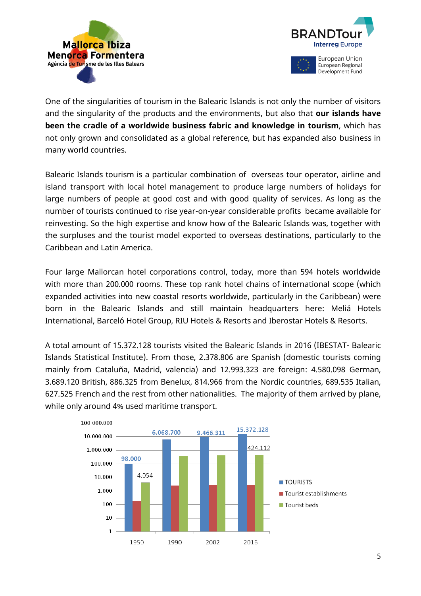



One of the singularities of tourism in the Balearic Islands is not only the number of visitors and the singularity of the products and the environments, but also that **our islands have been the cradle of a worldwide business fabric and knowledge in tourism**, which has not only grown and consolidated as a global reference, but has expanded also business in many world countries.

Balearic Islands tourism is a particular combination of overseas tour operator, airline and island transport with local hotel management to produce large numbers of holidays for large numbers of people at good cost and with good quality of services. As long as the number of tourists continued to rise year-on-year considerable profits became available for reinvesting. So the high expertise and know how of the Balearic Islands was, together with the surpluses and the tourist model exported to overseas destinations, particularly to the Caribbean and Latin America.

Four large Mallorcan hotel corporations control, today, more than 594 hotels worldwide with more than 200.000 rooms. These top rank hotel chains of international scope (which expanded activities into new coastal resorts worldwide, particularly in the Caribbean) were born in the Balearic Islands and still maintain headquarters here: Meliá Hotels International, Barceló Hotel Group, RIU Hotels & Resorts and Iberostar Hotels & Resorts.

A total amount of 15.372.128 tourists visited the Balearic Islands in 2016 (IBESTAT- Balearic Islands Statistical Institute). From those, 2.378.806 are Spanish (domestic tourists coming mainly from Cataluña, Madrid, valencia) and 12.993.323 are foreign: 4.580.098 German, 3.689.120 British, 886.325 from Benelux, 814.966 from the Nordic countries, 689.535 Italian, 627.525 French and the rest from other nationalities. The majority of them arrived by plane, while only around 4% used maritime transport.

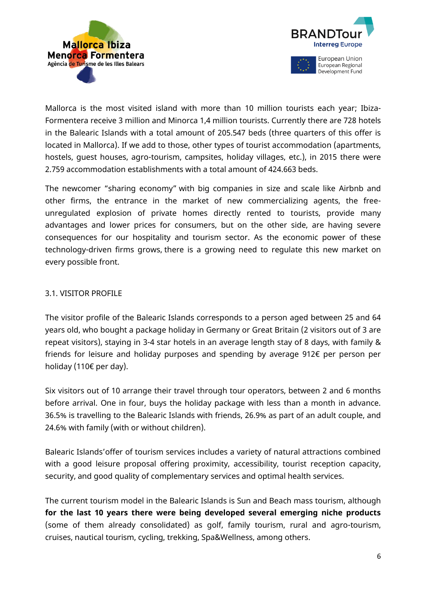



Mallorca is the most visited island with more than 10 million tourists each year; Ibiza-Formentera receive 3 million and Minorca 1,4 million tourists. Currently there are 728 hotels in the Balearic Islands with a total amount of 205.547 beds (three quarters of this offer is located in Mallorca). If we add to those, other types of tourist accommodation (apartments, hostels, guest houses, agro-tourism, campsites, holiday villages, etc.), in 2015 there were 2.759 accommodation establishments with a total amount of 424.663 beds.

The newcomer "sharing economy" with big companies in size and scale like Airbnb and other firms, the entrance in the market of new commercializing agents, the freeunregulated explosion of private homes directly rented to tourists, provide many advantages and lower prices for consumers, but on the other side, are having severe consequences for our hospitality and tourism sector. As the economic power of these technology-driven firms grows, there is a growing need to regulate this new market on every possible front.

#### 3.1. VISITOR PROFILE

The visitor profile of the Balearic Islands corresponds to a person aged between 25 and 64 years old, who bought a package holiday in Germany or Great Britain (2 visitors out of 3 are repeat visitors), staying in 3-4 star hotels in an average length stay of 8 days, with family & friends for leisure and holiday purposes and spending by average 912€ per person per holiday (110€ per day).

Six visitors out of 10 arrange their travel through tour operators, between 2 and 6 months before arrival. One in four, buys the holiday package with less than a month in advance. 36.5% is travelling to the Balearic Islands with friends, 26.9% as part of an adult couple, and 24.6% with family (with or without children).

Balearic Islands'offer of tourism services includes a variety of natural attractions combined with a good leisure proposal offering proximity, accessibility, tourist reception capacity, security, and good quality of complementary services and optimal health services.

The current tourism model in the Balearic Islands is Sun and Beach mass tourism, although **for the last 10 years there were being developed several emerging niche products** (some of them already consolidated) as golf, family tourism, rural and agro-tourism, cruises, nautical tourism, cycling, trekking, Spa&Wellness, among others.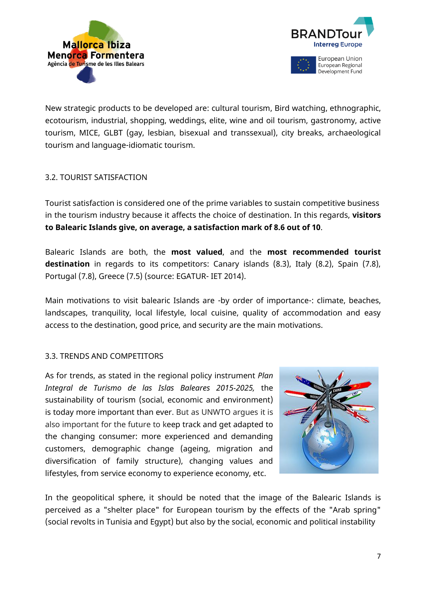



Development Fund

New strategic products to be developed are: cultural tourism, Bird watching, ethnographic, ecotourism, industrial, shopping, weddings, elite, wine and oil tourism, gastronomy, active tourism, MICE, GLBT (gay, lesbian, bisexual and transsexual), city breaks, archaeological tourism and language-idiomatic tourism.

#### 3.2. TOURIST SATISFACTION

Tourist satisfaction is considered one of the prime variables to sustain competitive business in the tourism industry because it affects the choice of destination. In this regards, **visitors to Balearic Islands give, on average, a satisfaction mark of 8.6 out of 10**.

Balearic Islands are both, the **most valued**, and the **most recommended tourist destination** in regards to its competitors: Canary islands (8.3), Italy (8.2), Spain (7.8), Portugal (7.8), Greece (7.5) (source: EGATUR- IET 2014).

Main motivations to visit balearic Islands are -by order of importance-: climate, beaches, landscapes, tranquility, local lifestyle, local cuisine, quality of accommodation and easy access to the destination, good price, and security are the main motivations.

#### 3.3. TRENDS AND COMPETITORS

As for trends, as stated in the regional policy instrument *Plan Integral de Turismo de las Islas Baleares 2015-2025,* the sustainability of tourism (social, economic and environment) is today more important than ever. But as UNWTO argues it is also important for the future to keep track and get adapted to the changing consumer: more experienced and demanding customers, demographic change (ageing, migration and diversification of family structure), changing values and lifestyles, from service economy to experience economy, etc.



In the geopolitical sphere, it should be noted that the image of the Balearic Islands is perceived as a "shelter place" for European tourism by the effects of the "Arab spring" (social revolts in Tunisia and Egypt) but also by the social, economic and political instability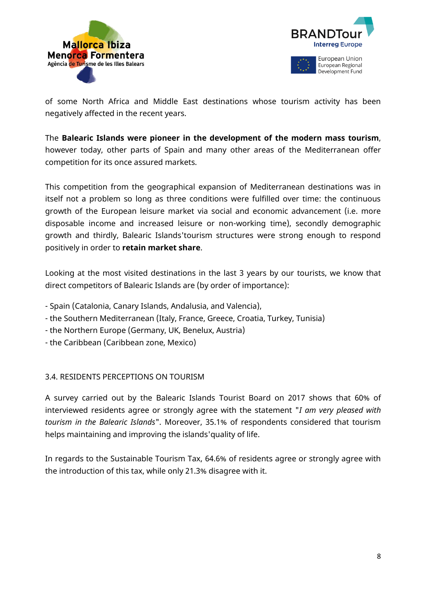



of some North Africa and Middle East destinations whose tourism activity has been negatively affected in the recent years.

The **Balearic Islands were pioneer in the development of the modern mass tourism**, however today, other parts of Spain and many other areas of the Mediterranean offer competition for its once assured markets.

This competition from the geographical expansion of Mediterranean destinations was in itself not a problem so long as three conditions were fulfilled over time: the continuous growth of the European leisure market via social and economic advancement (i.e. more disposable income and increased leisure or non-working time), secondly demographic growth and thirdly, Balearic Islands'tourism structures were strong enough to respond positively in order to **retain market share**.

Looking at the most visited destinations in the last 3 years by our tourists, we know that direct competitors of Balearic Islands are (by order of importance):

- Spain (Catalonia, Canary Islands, Andalusia, and Valencia),
- the Southern Mediterranean (Italy, France, Greece, Croatia, Turkey, Tunisia)
- the Northern Europe (Germany, UK, Benelux, Austria)
- the Caribbean (Caribbean zone, Mexico)

#### 3.4. RESIDENTS PERCEPTIONS ON TOURISM

A survey carried out by the Balearic Islands Tourist Board on 2017 shows that 60% of interviewed residents agree or strongly agree with the statement "*I am very pleased with tourism in the Balearic Islands*". Moreover, 35.1% of respondents considered that tourism helps maintaining and improving the islands'quality of life.

In regards to the Sustainable Tourism Tax, 64.6% of residents agree or strongly agree with the introduction of this tax, while only 21.3% disagree with it.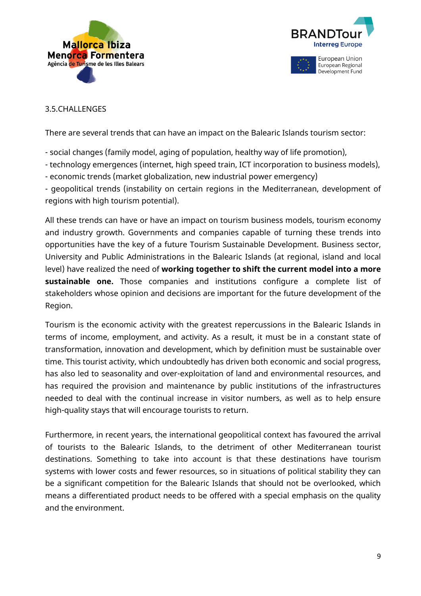



#### 3.5.CHALLENGES

There are several trends that can have an impact on the Balearic Islands tourism sector:

- social changes (family model, aging of population, healthy way of life promotion),
- technology emergences (internet, high speed train, ICT incorporation to business models),
- economic trends (market globalization, new industrial power emergency)

- geopolitical trends (instability on certain regions in the Mediterranean, development of regions with high tourism potential).

All these trends can have or have an impact on tourism business models, tourism economy and industry growth. Governments and companies capable of turning these trends into opportunities have the key of a future Tourism Sustainable Development. Business sector, University and Public Administrations in the Balearic Islands (at regional, island and local level) have realized the need of **working together to shift the current model into a more sustainable one.** Those companies and institutions configure a complete list of stakeholders whose opinion and decisions are important for the future development of the Region.

Tourism is the economic activity with the greatest repercussions in the Balearic Islands in terms of income, employment, and activity. As a result, it must be in a constant state of transformation, innovation and development, which by definition must be sustainable over time. This tourist activity, which undoubtedly has driven both economic and social progress, has also led to seasonality and over-exploitation of land and environmental resources, and has required the provision and maintenance by public institutions of the infrastructures needed to deal with the continual increase in visitor numbers, as well as to help ensure high-quality stays that will encourage tourists to return.

Furthermore, in recent years, the international geopolitical context has favoured the arrival of tourists to the Balearic Islands, to the detriment of other Mediterranean tourist destinations. Something to take into account is that these destinations have tourism systems with lower costs and fewer resources, so in situations of political stability they can be a significant competition for the Balearic Islands that should not be overlooked, which means a differentiated product needs to be offered with a special emphasis on the quality and the environment.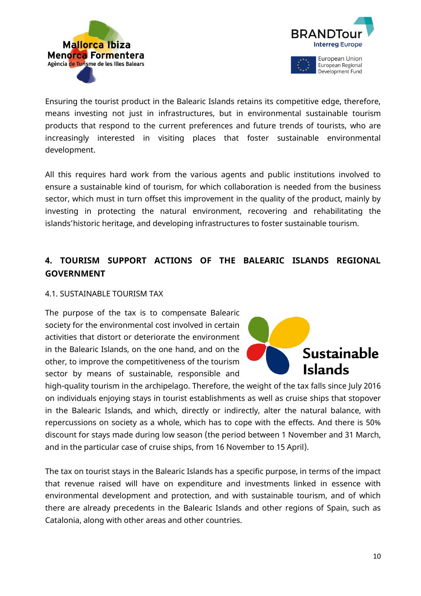



Ensuring the tourist product in the Balearic Islands retains its competitive edge, therefore, means investing not just in infrastructures, but in environmental sustainable tourism products that respond to the current preferences and future trends of tourists, who are increasingly interested in visiting places that foster sustainable environmental development.

All this requires hard work from the various agents and public institutions involved to ensure a sustainable kind of tourism, for which collaboration is needed from the business sector, which must in turn offset this improvement in the quality of the product, mainly by investing in protecting the natural environment, recovering and rehabilitating the islands'historic heritage, and developing infrastructures to foster sustainable tourism.

# **4. TOURISM SUPPORT ACTIONS OF THE BALEARIC ISLANDS REGIONAL GOVERNMENT**

#### 4.1. SUSTAINABLE TOURISM TAX

The purpose of the tax is to compensate Balearic society for the environmental cost involved in certain activities that distort or deteriorate the environment in the Balearic Islands, on the one hand, and on the other, to improve the competitiveness of the tourism sector by means of sustainable, responsible and



high-quality tourism in the archipelago. Therefore, the weight of the tax falls since July 2016 on individuals enjoying stays in tourist establishments as well as cruise ships that stopover in the Balearic Islands, and which, directly or indirectly, alter the natural balance, with repercussions on society as a whole, which has to cope with the effects. And there is 50% discount for stays made during low season (the period between 1 November and 31 March, and in the particular case of cruise ships, from 16 November to 15 April).

The tax on tourist stays in the Balearic Islands has a specific purpose, in terms of the impact that revenue raised will have on expenditure and investments linked in essence with environmental development and protection, and with sustainable tourism, and of which there are already precedents in the Balearic Islands and other regions of Spain, such as Catalonia, along with other areas and other countries.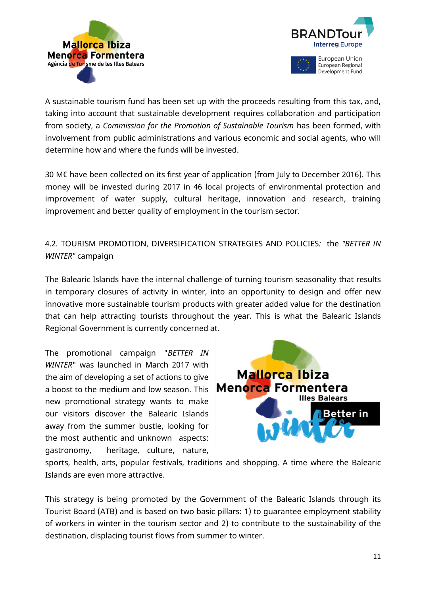



European Regional Development Fund

A sustainable tourism fund has been set up with the proceeds resulting from this tax, and, taking into account that sustainable development requires collaboration and participation from society, a *Commission for the Promotion of Sustainable Tourism* has been formed, with involvement from public administrations and various economic and social agents, who will determine how and where the funds will be invested.

30 M€ have been collected on its first year of application (from July to December 2016). This money will be invested during 2017 in 46 local projects of environmental protection and improvement of water supply, cultural heritage, innovation and research, training improvement and better quality of employment in the tourism sector.

4.2. TOURISM PROMOTION, DIVERSIFICATION STRATEGIES AND POLICIES*:* the *"BETTER IN WINTER"* campaign

The Balearic Islands have the internal challenge of turning tourism seasonality that results in temporary closures of activity in winter, into an opportunity to design and offer new innovative more sustainable tourism products with greater added value for the destination that can help attracting tourists throughout the year. This is what the Balearic Islands Regional Government is currently concerned at.

The promotional campaign "*BETTER IN WINTER*" was launched in March 2017 with the aim of developing a set of actions to give a boost to the medium and low season. This Menorca Formentera new promotional strategy wants to make our visitors discover the Balearic Islands away from the summer bustle, looking for the most authentic and unknown aspects: gastronomy, heritage, culture, nature,



sports, health, arts, popular festivals, traditions and shopping. A time where the Balearic Islands are even more attractive.

This strategy is being promoted by the Government of the Balearic Islands through its Tourist Board (ATB) and is based on two basic pillars: 1) to guarantee employment stability of workers in winter in the tourism sector and 2) to contribute to the sustainability of the destination, displacing tourist flows from summer to winter.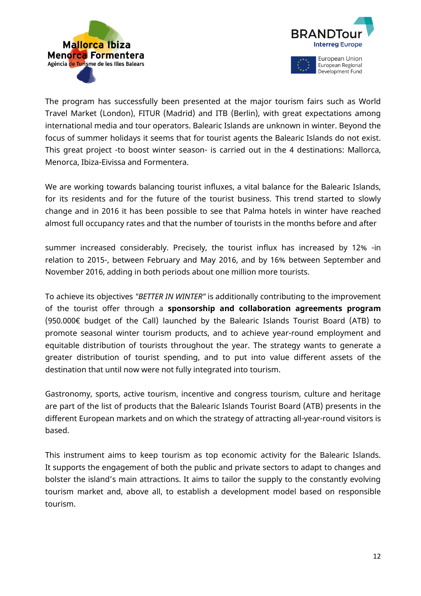



The program has successfully been presented at the major tourism fairs such as World Travel Market (London), FITUR (Madrid) and ITB (Berlin), with great expectations among international media and tour operators. Balearic Islands are unknown in winter. Beyond the focus of summer holidays it seems that for tourist agents the Balearic Islands do not exist. This great project -to boost winter season- is carried out in the 4 destinations: Mallorca, Menorca, Ibiza-Eivissa and Formentera.

We are working towards balancing tourist influxes, a vital balance for the Balearic Islands, for its residents and for the future of the tourist business. This trend started to slowly change and in 2016 it has been possible to see that Palma hotels in winter have reached almost full occupancy rates and that the number of tourists in the months before and after

summer increased considerably. Precisely, the tourist influx has increased by 12% -in relation to 2015-, between February and May 2016, and by 16% between September and November 2016, adding in both periods about one million more tourists.

To achieve its objectives *"BETTER IN WINTER"* is additionally contributing to the improvement of the tourist offer through a **sponsorship and collaboration agreements program** (950.000€ budget of the Call) launched by the Balearic Islands Tourist Board (ATB) to promote seasonal winter tourism products, and to achieve year-round employment and equitable distribution of tourists throughout the year. The strategy wants to generate a greater distribution of tourist spending, and to put into value different assets of the destination that until now were not fully integrated into tourism.

Gastronomy, sports, active tourism, incentive and congress tourism, culture and heritage are part of the list of products that the Balearic Islands Tourist Board (ATB) presents in the different European markets and on which the strategy of attracting all-year-round visitors is based.

This instrument aims to keep tourism as top economic activity for the Balearic Islands. It supports the engagement of both the public and private sectors to adapt to changes and bolster the island's main attractions. It aims to tailor the supply to the constantly evolving tourism market and, above all, to establish a development model based on responsible tourism.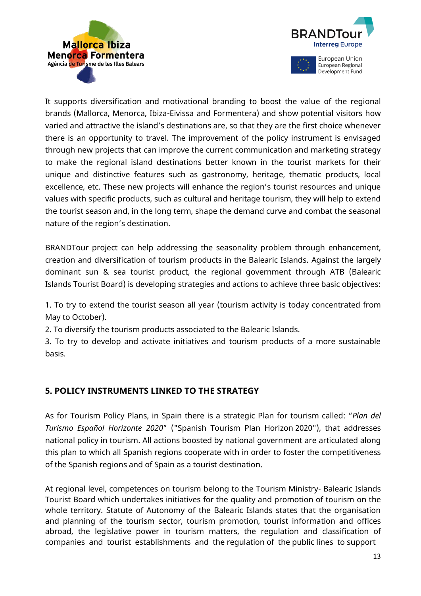



It supports diversification and motivational branding to boost the value of the regional brands (Mallorca, Menorca, Ibiza-Eivissa and Formentera) and show potential visitors how varied and attractive the island's destinations are, so that they are the first choice whenever there is an opportunity to travel. The improvement of the policy instrument is envisaged through new projects that can improve the current communication and marketing strategy to make the regional island destinations better known in the tourist markets for their unique and distinctive features such as gastronomy, heritage, thematic products, local excellence, etc. These new projects will enhance the region's tourist resources and unique values with specific products, such as cultural and heritage tourism, they will help to extend the tourist season and, in the long term, shape the demand curve and combat the seasonal nature of the region's destination.

BRANDTour project can help addressing the seasonality problem through enhancement, creation and diversification of tourism products in the Balearic Islands. Against the largely dominant sun & sea tourist product, the regional government through ATB (Balearic Islands Tourist Board) is developing strategies and actions to achieve three basic objectives:

1. To try to extend the tourist season all year (tourism activity is today concentrated from May to October).

2. To diversify the tourism products associated to the Balearic Islands.

3. To try to develop and activate initiatives and tourism products of a more sustainable basis.

# **5. POLICY INSTRUMENTS LINKED TO THE STRATEGY**

As for Tourism Policy Plans, in Spain there is a strategic Plan for tourism called: "*Plan del Turismo Español Horizonte 2020*" ("Spanish Tourism Plan Horizon 2020"), that addresses national policy in tourism. All actions boosted by national government are articulated along this plan to which all Spanish regions cooperate with in order to foster the competitiveness of the Spanish regions and of Spain as a tourist destination.

At regional level, competences on tourism belong to the Tourism Ministry- Balearic Islands Tourist Board which undertakes initiatives for the quality and promotion of tourism on the whole territory. Statute of Autonomy of the Balearic Islands states that the organisation and planning of the tourism sector, tourism promotion, tourist information and offices abroad, the legislative power in tourism matters, the regulation and classification of companies and tourist establishments and the regulation of the public lines to support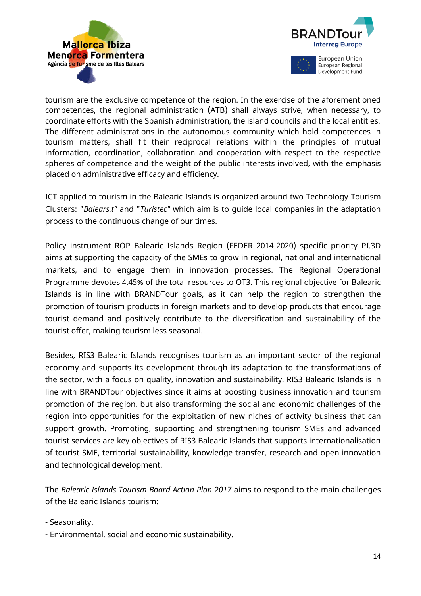



tourism are the exclusive competence of the region. In the exercise of the aforementioned competences, the regional administration (ATB) shall always strive, when necessary, to coordinate efforts with the Spanish administration, the island councils and the local entities. The different administrations in the autonomous community which hold competences in tourism matters, shall fit their reciprocal relations within the principles of mutual information, coordination, collaboration and cooperation with respect to the respective spheres of competence and the weight of the public interests involved, with the emphasis placed on administrative efficacy and efficiency.

ICT applied to tourism in the Balearic Islands is organized around two Technology-Tourism Clusters: "*Balears.t"* and "*Turistec"* which aim is to guide local companies in the adaptation process to the continuous change of our times.

Policy instrument ROP Balearic Islands Region (FEDER 2014-2020) specific priority PI.3D aims at supporting the capacity of the SMEs to grow in regional, national and international markets, and to engage them in innovation processes. The Regional Operational Programme devotes 4.45% of the total resources to OT3. This regional objective for Balearic Islands is in line with BRANDTour goals, as it can help the region to strengthen the promotion of tourism products in foreign markets and to develop products that encourage tourist demand and positively contribute to the diversification and sustainability of the tourist offer, making tourism less seasonal.

Besides, RIS3 Balearic Islands recognises tourism as an important sector of the regional economy and supports its development through its adaptation to the transformations of the sector, with a focus on quality, innovation and sustainability. RIS3 Balearic Islands is in line with BRANDTour objectives since it aims at boosting business innovation and tourism promotion of the region, but also transforming the social and economic challenges of the region into opportunities for the exploitation of new niches of activity business that can support growth. Promoting, supporting and strengthening tourism SMEs and advanced tourist services are key objectives of RIS3 Balearic Islands that supports internationalisation of tourist SME, territorial sustainability, knowledge transfer, research and open innovation and technological development.

The *Balearic Islands Tourism Board Action Plan 2017* aims to respond to the main challenges of the Balearic Islands tourism:

- Seasonality.
- Environmental, social and economic sustainability.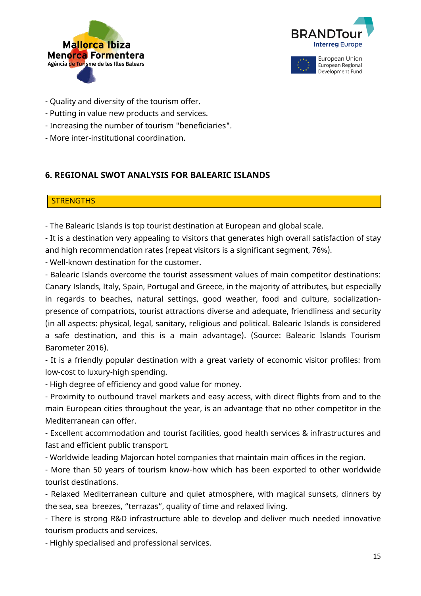



- Quality and diversity of the tourism offer.
- Putting in value new products and services.
- Increasing the number of tourism "beneficiaries".
- More inter-institutional coordination.

# **6. REGIONAL SWOT ANALYSIS FOR BALEARIC ISLANDS**

# **STRENGTHS**

- The Balearic Islands is top tourist destination at European and global scale.

- It is a destination very appealing to visitors that generates high overall satisfaction of stay and high recommendation rates (repeat visitors is a significant segment, 76%).

- Well-known destination for the customer.

- Balearic Islands overcome the tourist assessment values of main competitor destinations: Canary Islands, Italy, Spain, Portugal and Greece, in the majority of attributes, but especially in regards to beaches, natural settings, good weather, food and culture, socializationpresence of compatriots, tourist attractions diverse and adequate, friendliness and security (in all aspects: physical, legal, sanitary, religious and political. Balearic Islands is considered a safe destination, and this is a main advantage). (Source: Balearic Islands Tourism Barometer 2016).

- It is a friendly popular destination with a great variety of economic visitor profiles: from low-cost to luxury-high spending.

- High degree of efficiency and good value for money.

- Proximity to outbound travel markets and easy access, with direct flights from and to the main European cities throughout the year, is an advantage that no other competitor in the Mediterranean can offer.

- Excellent accommodation and tourist facilities, good health services & infrastructures and fast and efficient public transport.

- Worldwide leading Majorcan hotel companies that maintain main offices in the region.

- More than 50 years of tourism know-how which has been exported to other worldwide tourist destinations.

- Relaxed Mediterranean culture and quiet atmosphere, with magical sunsets, dinners by the sea, sea breezes, "terrazas", quality of time and relaxed living.

- There is strong R&D infrastructure able to develop and deliver much needed innovative tourism products and services.

- Highly specialised and professional services.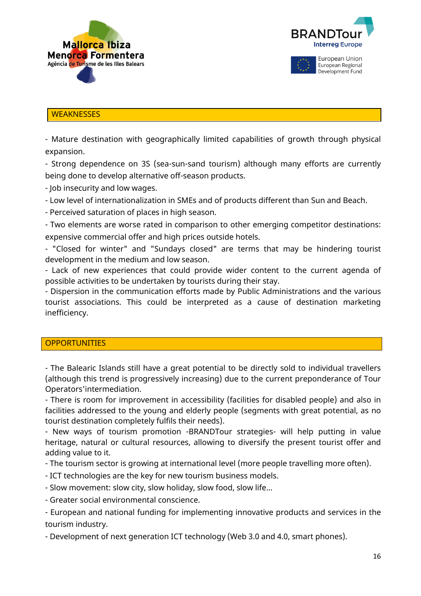



# **WEAKNESSES**

- Mature destination with geographically limited capabilities of growth through physical expansion.

- Strong dependence on 3S (sea-sun-sand tourism) although many efforts are currently being done to develop alternative off-season products.

- Job insecurity and low wages.

- Low level of internationalization in SMEs and of products different than Sun and Beach.

- Perceived saturation of places in high season.

- Two elements are worse rated in comparison to other emerging competitor destinations: expensive commercial offer and high prices outside hotels.

- "Closed for winter" and "Sundays closed" are terms that may be hindering tourist development in the medium and low season.

- Lack of new experiences that could provide wider content to the current agenda of possible activities to be undertaken by tourists during their stay.

- Dispersion in the communication efforts made by Public Administrations and the various tourist associations. This could be interpreted as a cause of destination marketing inefficiency.

#### **OPPORTUNITIES**

- The Balearic Islands still have a great potential to be directly sold to individual travellers (although this trend is progressively increasing) due to the current preponderance of Tour Operators'intermediation.

- There is room for improvement in accessibility (facilities for disabled people) and also in facilities addressed to the young and elderly people (segments with great potential, as no tourist destination completely fulfils their needs).

- New ways of tourism promotion -BRANDTour strategies- will help putting in value heritage, natural or cultural resources, allowing to diversify the present tourist offer and adding value to it.

- The tourism sector is growing at international level (more people travelling more often).

- ICT technologies are the key for new tourism business models.
- Slow movement: slow city, slow holiday, slow food, slow life...
- Greater social environmental conscience.

- European and national funding for implementing innovative products and services in the tourism industry.

- Development of next generation ICT technology (Web 3.0 and 4.0, smart phones).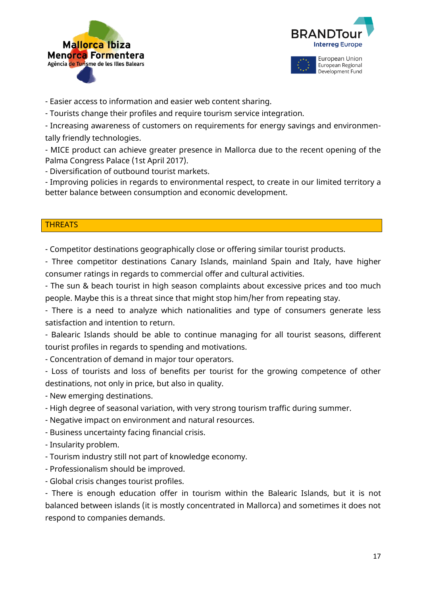





- Easier access to information and easier web content sharing.

- Tourists change their profiles and require tourism service integration.

- Increasing awareness of customers on requirements for energy savings and environmentally friendly technologies.

- MICE product can achieve greater presence in Mallorca due to the recent opening of the Palma Congress Palace (1st April 2017).

- Diversification of outbound tourist markets.

- Improving policies in regards to environmental respect, to create in our limited territory a better balance between consumption and economic development.

#### **THREATS**

- Competitor destinations geographically close or offering similar tourist products.

- Three competitor destinations Canary Islands, mainland Spain and Italy, have higher consumer ratings in regards to commercial offer and cultural activities.

- The sun & beach tourist in high season complaints about excessive prices and too much people. Maybe this is a threat since that might stop him/her from repeating stay.

- There is a need to analyze which nationalities and type of consumers generate less satisfaction and intention to return.

- Balearic Islands should be able to continue managing for all tourist seasons, different tourist profiles in regards to spending and motivations.

- Concentration of demand in major tour operators.

- Loss of tourists and loss of benefits per tourist for the growing competence of other destinations, not only in price, but also in quality.

- New emerging destinations.

- High degree of seasonal variation, with very strong tourism traffic during summer.

- Negative impact on environment and natural resources.

- Business uncertainty facing financial crisis.

- Insularity problem.
- Tourism industry still not part of knowledge economy.
- Professionalism should be improved.
- Global crisis changes tourist profiles.

- There is enough education offer in tourism within the Balearic Islands, but it is not balanced between islands (it is mostly concentrated in Mallorca) and sometimes it does not respond to companies demands.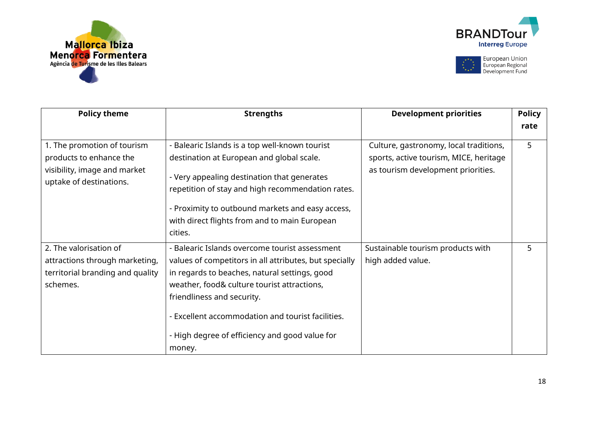





| <b>Policy theme</b>                                                                                               | <b>Strengths</b>                                                                                                                                                                                                                                                                                                                                        | <b>Development priorities</b>                                                                                          | <b>Policy</b> |
|-------------------------------------------------------------------------------------------------------------------|---------------------------------------------------------------------------------------------------------------------------------------------------------------------------------------------------------------------------------------------------------------------------------------------------------------------------------------------------------|------------------------------------------------------------------------------------------------------------------------|---------------|
|                                                                                                                   |                                                                                                                                                                                                                                                                                                                                                         |                                                                                                                        | rate          |
| 1. The promotion of tourism<br>products to enhance the<br>visibility, image and market<br>uptake of destinations. | - Balearic Islands is a top well-known tourist<br>destination at European and global scale.<br>- Very appealing destination that generates<br>repetition of stay and high recommendation rates.<br>- Proximity to outbound markets and easy access,<br>with direct flights from and to main European<br>cities.                                         | Culture, gastronomy, local traditions,<br>sports, active tourism, MICE, heritage<br>as tourism development priorities. | 5             |
| 2. The valorisation of<br>attractions through marketing,<br>territorial branding and quality<br>schemes.          | - Balearic Islands overcome tourist assessment<br>values of competitors in all attributes, but specially<br>in regards to beaches, natural settings, good<br>weather, food& culture tourist attractions,<br>friendliness and security.<br>- Excellent accommodation and tourist facilities.<br>- High degree of efficiency and good value for<br>money. | Sustainable tourism products with<br>high added value.                                                                 | 5             |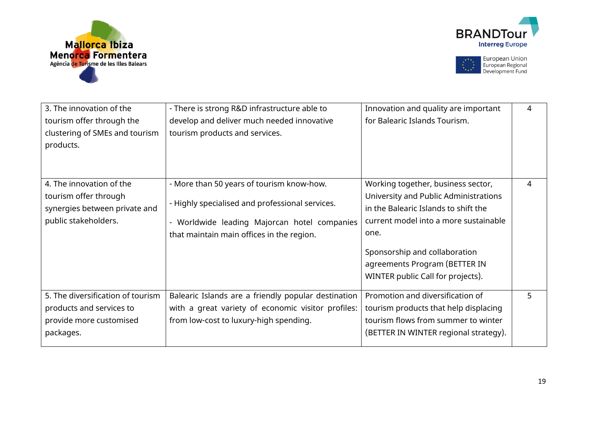





| 3. The innovation of the<br>tourism offer through the<br>clustering of SMEs and tourism<br>products.       | - There is strong R&D infrastructure able to<br>develop and deliver much needed innovative<br>tourism products and services.                                                              | Innovation and quality are important<br>for Balearic Islands Tourism.                                                                                                                                                                                                       | 4 |
|------------------------------------------------------------------------------------------------------------|-------------------------------------------------------------------------------------------------------------------------------------------------------------------------------------------|-----------------------------------------------------------------------------------------------------------------------------------------------------------------------------------------------------------------------------------------------------------------------------|---|
| 4. The innovation of the<br>tourism offer through<br>synergies between private and<br>public stakeholders. | - More than 50 years of tourism know-how.<br>- Highly specialised and professional services.<br>- Worldwide leading Majorcan hotel companies<br>that maintain main offices in the region. | Working together, business sector,<br>University and Public Administrations<br>in the Balearic Islands to shift the<br>current model into a more sustainable<br>one.<br>Sponsorship and collaboration<br>agreements Program (BETTER IN<br>WINTER public Call for projects). | 4 |
| 5. The diversification of tourism<br>products and services to<br>provide more customised<br>packages.      | Balearic Islands are a friendly popular destination<br>with a great variety of economic visitor profiles:<br>from low-cost to luxury-high spending.                                       | Promotion and diversification of<br>tourism products that help displacing<br>tourism flows from summer to winter<br>(BETTER IN WINTER regional strategy).                                                                                                                   | 5 |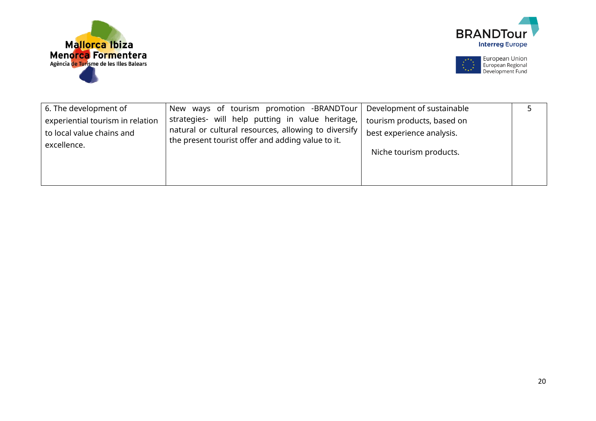





| 6. The development of                                         | New ways of tourism promotion -BRANDTour                                                                 | Development of sustainable                              |  |
|---------------------------------------------------------------|----------------------------------------------------------------------------------------------------------|---------------------------------------------------------|--|
| experiential tourism in relation<br>to local value chains and | strategies- will help putting in value heritage,<br>natural or cultural resources, allowing to diversify | tourism products, based on<br>best experience analysis. |  |
| excellence.                                                   | the present tourist offer and adding value to it.                                                        | Niche tourism products.                                 |  |
|                                                               |                                                                                                          |                                                         |  |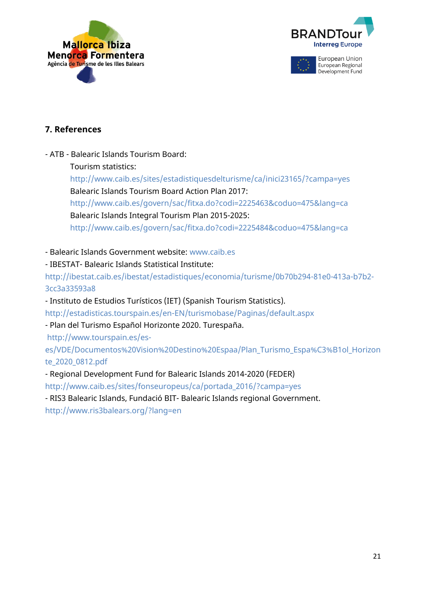



# **7. References**

- ATB - Balearic Islands Tourism Board:

Tourism statistics:

http://www.caib.es/sites/estadistiquesdelturisme/ca/inici23165/?campa=yes Balearic Islands Tourism Board Action Plan 2017:

http://www.caib.es/govern/sac/fitxa.do?codi=2225463&coduo=475&lang=ca Balearic Islands Integral Tourism Plan 2015-2025:

http://www.caib.es/govern/sac/fitxa.do?codi=2225484&coduo=475&lang=ca

- Balearic Islands Government website: www.caib.es

- IBESTAT- Balearic Islands Statistical Institute:

http://ibestat.caib.es/ibestat/estadistiques/economia/turisme/0b70b294-81e0-413a-b7b2- 3cc3a33593a8

- Instituto de Estudios Turísticos (IET) (Spanish Tourism Statistics).

http://estadisticas.tourspain.es/en-EN/turismobase/Paginas/default.aspx

- Plan del Turismo Español Horizonte 2020. Turespaña.

http://www.tourspain.es/es-

es/VDE/Documentos%20Vision%20Destino%20Espaa/Plan\_Turismo\_Espa%C3%B1ol\_Horizon te\_2020\_0812.pdf

- Regional Development Fund for Balearic Islands 2014-2020 (FEDER)

http://www.caib.es/sites/fonseuropeus/ca/portada\_2016/?campa=yes

- RIS3 Balearic Islands, Fundació BIT- Balearic Islands regional Government.

http://www.ris3balears.org/?lang=en